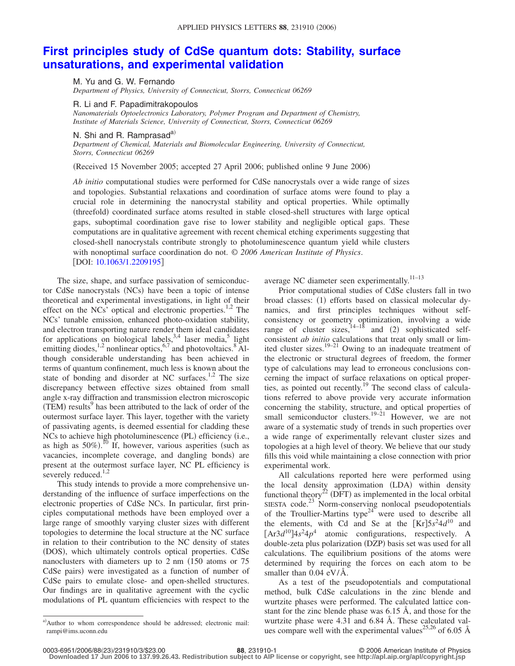## **[First principles study of CdSe quantum dots: Stability, surface](http://dx.doi.org/10.1063/1.2209195) [unsaturations, and experimental validation](http://dx.doi.org/10.1063/1.2209195)**

M. Yu and G. W. Fernando

*Department of Physics, University of Connecticut, Storrs, Connecticut 06269*

R. Li and F. Papadimitrakopoulos

*Nanomaterials Optoelectronics Laboratory, Polymer Program and Department of Chemistry, Institute of Materials Science, University of Connecticut, Storrs, Connecticut 06269*

N. Shi and R. Ramprasad $a^{(i)}$ 

*Department of Chemical, Materials and Biomolecular Engineering, University of Connecticut, Storrs, Connecticut 06269*

(Received 15 November 2005; accepted 27 April 2006; published online 9 June 2006)

*Ab initio* computational studies were performed for CdSe nanocrystals over a wide range of sizes and topologies. Substantial relaxations and coordination of surface atoms were found to play a crucial role in determining the nanocrystal stability and optical properties. While optimally (threefold) coordinated surface atoms resulted in stable closed-shell structures with large optical gaps, suboptimal coordination gave rise to lower stability and negligible optical gaps. These computations are in qualitative agreement with recent chemical etching experiments suggesting that closed-shell nanocrystals contribute strongly to photoluminescence quantum yield while clusters with nonoptimal surface coordination do not. © *2006 American Institute of Physics*. [DOI: [10.1063/1.2209195](http://dx.doi.org/10.1063/1.2209195)]

The size, shape, and surface passivation of semiconductor CdSe nanocrystals (NCs) have been a topic of intense theoretical and experimental investigations, in light of their effect on the NCs' optical and electronic properties.<sup>1,2</sup> The NCs' tunable emission, enhanced photo-oxidation stability, and electron transporting nature render them ideal candidates for applications on biological labels,  $3,4$  laser media,  $5$  light emitting diodes,  $^{1,2}$  nonlinear optics,  $^{6,7}$  and photovoltaics.  $^{8}$  Although considerable understanding has been achieved in terms of quantum confinement, much less is known about the state of bonding and disorder at NC surfaces.<sup>1,2</sup> The size discrepancy between effective sizes obtained from small angle x-ray diffraction and transmission electron microscopic (TEM) results<sup>9</sup> has been attributed to the lack of order of the outermost surface layer. This layer, together with the variety of passivating agents, is deemed essential for cladding these NCs to achieve high photoluminescence (PL) efficiency (i.e., as high as  $50\%)$ .<sup>10</sup> If, however, various asperities (such as vacancies, incomplete coverage, and dangling bonds) are present at the outermost surface layer, NC PL efficiency is severely reduced.<sup>1,2</sup>

This study intends to provide a more comprehensive understanding of the influence of surface imperfections on the electronic properties of CdSe NCs. In particular, first principles computational methods have been employed over a large range of smoothly varying cluster sizes with different topologies to determine the local structure at the NC surface in relation to their contribution to the NC density of states (DOS), which ultimately controls optical properties. CdSe nanoclusters with diameters up to  $2 \text{ nm}$  (150 atoms or 75) CdSe pairs) were investigated as a function of number of CdSe pairs to emulate close- and open-shelled structures. Our findings are in qualitative agreement with the cyclic modulations of PL quantum efficiencies with respect to the

a) Author to whom correspondence should be addressed; electronic mail: rampi@ims.uconn.edu

average NC diameter seen experimentally.<sup>11-13</sup>

Prior computational studies of CdSe clusters fall in two broad classes: (1) efforts based on classical molecular dynamics, and first principles techniques without selfconsistency or geometry optimization, involving a wide range of cluster sizes,  $14-18$  and (2) sophisticated selfconsistent *ab initio* calculations that treat only small or limited cluster sizes.<sup>19–21</sup> Owing to an inadequate treatment of the electronic or structural degrees of freedom, the former type of calculations may lead to erroneous conclusions concerning the impact of surface relaxations on optical properties, as pointed out recently.<sup>19</sup> The second class of calculations referred to above provide very accurate information concerning the stability, structure, and optical properties of small semiconductor clusters. $19-21$  However, we are not aware of a systematic study of trends in such properties over a wide range of experimentally relevant cluster sizes and topologies at a high level of theory. We believe that our study fills this void while maintaining a close connection with prior experimental work.

All calculations reported here were performed using the local density approximation (LDA) within density functional theory<sup>22</sup> (DFT) as implemented in the local orbital SIESTA code.<sup>23</sup> Norm-conserving nonlocal pseudopotentials of the Troullier-Martins type<sup>24"</sup> were used to describe all the elements, with Cd and Se at the  $[Kr] 5s^2 4d^{10}$  and  $[Ar3d^{10}]$ 4*s*<sup>2</sup>4*p*<sup>4</sup> atomic configurations, respectively. A double-zeta plus polarization (DZP) basis set was used for all calculations. The equilibrium positions of the atoms were determined by requiring the forces on each atom to be smaller than 0.04 eV/Å.

As a test of the pseudopotentials and computational method, bulk CdSe calculations in the zinc blende and wurtzite phases were performed. The calculated lattice constant for the zinc blende phase was 6.15 Å, and those for the wurtzite phase were 4.31 and 6.84 Å. These calculated values compare well with the experimental values<sup>25,26</sup> of 6.05  $\AA$ 

**Downloaded 17 Jun 2006 to 137.99.26.43. Redistribution subject to AIP license or copyright, see http://apl.aip.org/apl/copyright.jsp**

**<sup>231910-1</sup>** © 2006 American Institute of Physics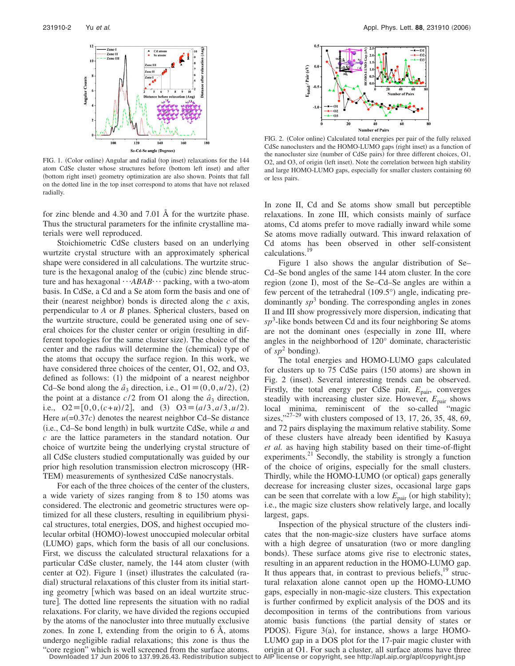

FIG. 1. (Color online) Angular and radial (top inset) relaxations for the 144 atom CdSe cluster whose structures before (bottom left inset) and after (bottom right inset) geometry optimization are also shown. Points that fall on the dotted line in the top inset correspond to atoms that have not relaxed radially.

for zinc blende and 4.30 and 7.01 Å for the wurtzite phase. Thus the structural parameters for the infinite crystalline materials were well reproduced.

Stoichiometric CdSe clusters based on an underlying wurtzite crystal structure with an approximately spherical shape were considered in all calculations. The wurtzite structure is the hexagonal analog of the (cubic) zinc blende structure and has hexagonal  $\cdots$ *ABAB* $\cdots$  packing, with a two-atom basis. In CdSe, a Cd and a Se atom form the basis and one of their (nearest neighbor) bonds is directed along the  $c$  axis, perpendicular to *A* or *B* planes. Spherical clusters, based on the wurtzite structure, could be generated using one of several choices for the cluster center or origin (resulting in different topologies for the same cluster size). The choice of the center and the radius will determine the (chemical) type of the atoms that occupy the surface region. In this work, we have considered three choices of the center, O1, O2, and O3, defined as follows: (1) the midpoint of a nearest neighbor Cd–Se bond along the  $\hat{a}_3$  direction, i.e., O1  $\equiv$  (0,0,*u*/2), (2) the point at a distance  $c/2$  from O1 along the  $\hat{a}_3$  direction, i.e.,  $O2 \equiv [0, 0, (c+u)/2]$ , and (3)  $O3 \equiv (a/3, a/3, u/2)$ . Here  $u(=0.37c)$  denotes the nearest neighbor Cd–Se distance (i.e., Cd-Se bond length) in bulk wurtzite CdSe, while *a* and *c* are the lattice parameters in the standard notation. Our choice of wurtzite being the underlying crystal structure of all CdSe clusters studied computationally was guided by our prior high resolution transmission electron microscopy HR-TEM) measurements of synthesized CdSe nanocrystals.

For each of the three choices of the center of the clusters, a wide variety of sizes ranging from 8 to 150 atoms was considered. The electronic and geometric structures were optimized for all these clusters, resulting in equilibrium physical structures, total energies, DOS, and highest occupied molecular orbital (HOMO)-lowest unoccupied molecular orbital (LUMO) gaps, which form the basis of all our conclusions. First, we discuss the calculated structural relaxations for a particular CdSe cluster, namely, the 144 atom cluster (with center at O2). Figure 1 (inset) illustrates the calculated (radial) structural relaxations of this cluster from its initial starting geometry [which was based on an ideal wurtzite structure. The dotted line represents the situation with no radial relaxations. For clarity, we have divided the regions occupied by the atoms of the nanocluster into three mutually exclusive zones. In zone I, extending from the origin to 6 Å, atoms undergo negligible radial relaxations; this zone is thus the "core region" which is well screened from the surface atoms.



FIG. 2. (Color online) Calculated total energies per pair of the fully relaxed CdSe nanoclusters and the HOMO-LUMO gaps (right inset) as a function of the nanocluster size (number of CdSe pairs) for three different choices, O1, O2, and O3, of origin (left inset). Note the correlation between high stability and large HOMO-LUMO gaps, especially for smaller clusters containing 60 or less pairs.

In zone II, Cd and Se atoms show small but perceptible relaxations. In zone III, which consists mainly of surface atoms, Cd atoms prefer to move radially inward while some Se atoms move radially outward. This inward relaxation of Cd atoms has been observed in other self-consistent calculations.19

Figure 1 also shows the angular distribution of Se– Cd–Se bond angles of the same 144 atom cluster. In the core region (zone I), most of the Se-Cd-Se angles are within a few percent of the tetrahedral  $(109.5^{\circ})$  angle, indicating predominantly  $sp^3$  bonding. The corresponding angles in zones II and III show progressively more dispersion, indicating that *sp*<sup>3</sup> -like bonds between Cd and its four neighboring Se atoms are not the dominant ones (especially in zone III, where angles in the neighborhood of 120° dominate, characteristic of  $sp^2$  bonding).

The total energies and HOMO-LUMO gaps calculated for clusters up to 75 CdSe pairs (150 atoms) are shown in Fig. 2 (inset). Several interesting trends can be observed. Firstly, the total energy per CdSe pair,  $E_{\text{pair}}$ , converges steadily with increasing cluster size. However,  $E_{\text{pair}}$  shows local minima, reminiscent of the so-called "magic sizes," $27-29$  with clusters composed of 13, 17, 26, 35, 48,  $\overline{69}$ , and 72 pairs displaying the maximum relative stability. Some of these clusters have already been identified by Kasuya *et al.* as having high stability based on their time-of-flight experiments. $21$  Secondly, the stability is strongly a function of the choice of origins, especially for the small clusters. Thirdly, while the HOMO-LUMO (or optical) gaps generally decrease for increasing cluster sizes, occasional large gaps can be seen that correlate with a low  $E_{\text{pair}}$  (or high stability); i.e., the magic size clusters show relatively large, and locally largest, gaps.

Inspection of the physical structure of the clusters indicates that the non-magic-size clusters have surface atoms with a high degree of unsaturation (two or more dangling bonds). These surface atoms give rise to electronic states, resulting in an apparent reduction in the HOMO-LUMO gap. It thus appears that, in contrast to previous beliefs, $19$  structural relaxation alone cannot open up the HOMO-LUMO gaps, especially in non-magic-size clusters. This expectation is further confirmed by explicit analysis of the DOS and its decomposition in terms of the contributions from various atomic basis functions (the partial density of states or PDOS). Figure  $3(a)$ , for instance, shows a large HOMO-LUMO gap in a DOS plot for the 17-pair magic cluster with origin at O1. For such a cluster, all surface atoms have three **Downloaded 17 Jun 2006 to 137.99.26.43. Redistribution subject to AIP license or copyright, see http://apl.aip.org/apl/copyright.jsp**